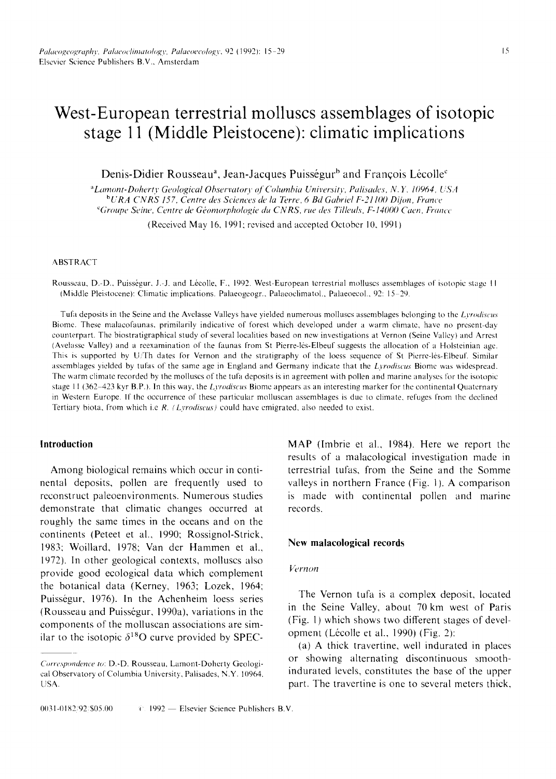# **West-European terrestrial molluscs assemblages of isotopic stage 11 (Middle Pleistocene): climatic implications**

Denis-Didier Rousseau<sup>a</sup>, Jean-Jacques Puisségur<sup>b</sup> and François Lécolle<sup>c</sup>

<sup>a</sup>Lamont-Doherty Geological Observatory of Columbia University, Palisades, N.Y. 10964, USA *bURA CNRS 157, Centre des Sciences de la Terre, 6 Bd Gabriel F-21100 D!/on, France*  <sup>e</sup>Groupe Seine, Centre de Géomorphologie du CNRS, rue des Tilleuls, F-14000 Caen, France

(Received May 16, 1991: revised and accepted October 10, 1991)

#### ABSTRACT

Rousseau, D.-D., Puisségur, J.-J. and Lécolle, F., 1992. West-European terrestrial molluscs assemblages of isotopic stage 11 {Middle Pleistocene): Climatic implications. Palaeogeogr., Palaeoclimatol., Palaeoecol., 92:15 29.

Tufil deposits in the Seine and the Avelasse Valleys have yielded numerous molluscs assemblages belonging to the *Lyrodiscus*  Biome. These malacofaunas, primilarily indicative of forest which developed under a warm climate, have no present-day counterpart. The biostratigraphical study of several localities based on new investigations at Vernon (Seine Valley) and Arrest (Avelasse Valley) and a reexamination of the faunas from St Pierre-les-EIbeuf suggests the allocation of a Holsleinian age. This is supported by U/Th dates for Vernon and the stratigraphy of the loess sequence of St Pierre-les-Elbeuf. Similar assemblages yielded by tufas of the same age in England and Germany indicate that the *Lyrodiscus* Biome was widespread. The warm climate recorded by the molluscs of the tufa deposits is in agreement with pollen and marine analyses for the isotopic stage 11 (362 423 kyr B.P.). In this way, the *Lyrodiscus* Biome appears as an interesting marker for the continental Quaternary in Western Europe. If the occurrence of these particular molluscan assemblages is due to climate, refuges from the declined Tertiary biota, from which i.e *R. (Lyrodiscus)* could have emigrated, also needed to exist.

# **Introduction**

Among biological remains which occur in continental deposits, pollen are frequently used to reconstruct paleoenvironments. Numerous studies demonstrate that climatic changes occurred at roughly the same times in the oceans and on the continents (Peteet et al., 1990; Rossignol-Strick, 1983: Woillard, 1978; Van der Hammen et al., 1972). In other geological contexts, molluscs also provide good ecological data which complement the botanical data (Kerney, 1963; Lozek, 1964; Puisségur, 1976). In the Achenheim loess series (Rousseau and Puisségur, 1990a), variations in the components of the molluscan associations are similar to the isotopic  $\delta^{18}$ O curve provided by SPEC- MAP (lmbrie et al., 1984). Here we report the results of a malacological investigation made in terrestrial tufas, from the Seine and the Somme valleys in northern France (Fig. I). A comparison is made with continental pollen and marine records.

## **New malaeological records**

## *Vernon*

The Vernon tufa is a complex deposit, located in the Seine Valley, about 70 km west of Paris (Fig. 1) which shows two different stages of development (Lécolle et al., 1990) (Fig. 2):

(a) A thick travertine, well indurated in places or showing alternating discontinuous smoothindurated levels, constitutes the base of the upper part. The travertine is one to several meters thick,

*Correspondence to:* D.-D. Rousseau. Lamont-Doherty Geological Observatory of Columbia University, Palisades, N.Y. 10964, USA.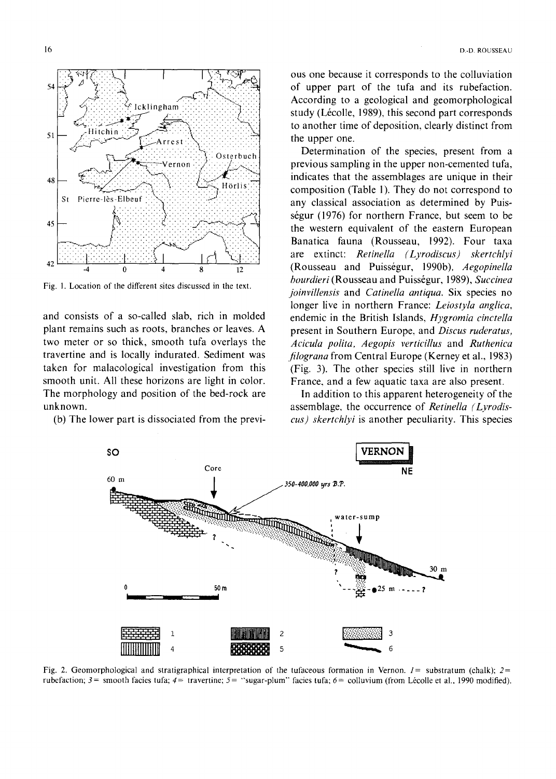

Fig. 1. Location of the different sites discussed in the text.

and consists of a so-called slab, rich in molded plant remains such as roots, branches or leaves. A two meter or so thick, smooth tufa overlays the travertine and is locally indurated. Sediment was taken for malacological investigation from this smooth unit. All these horizons are light in color. The morphology and position of the bed-rock are unknown.

(b) The lower part is dissociated from the previ-

ous one because it corresponds to the colluviation of upper part of the tufa and its rubefaction. According to a geological and geomorphological study (Lécolle, 1989), this second part corresponds to another time of deposition, clearly distinct from the upper one.

Determination of the species, present from a previous sampling in the upper non-cemented tufa, indicates that the assemblages are unique in their composition (Table 1). They do not correspond to any classical association as determined by Puisségur (1976) for northern France, but seem to be the western equivalent of the eastern European Banatica fauna (Rousseau, 1992). Four taxa are extinct: Retinella (Lyrodiscus) skertchlyi (Rousseau and Puisségur, 1990b), Aegopinella bourdieri (Rousseau and Puisségur, 1989), Succinea joinvillensis and Catinella antiqua. Six species no longer live in northern France: Leiostyla anglica, endemic in the British Islands, Hygromia cinctella present in Southern Europe, and Discus ruderatus, Acicula polita, Aegopis verticillus and Ruthenica *filograna* from Central Europe (Kerney et al., 1983) (Fig. 3). The other species still live in northern France, and a few aquatic taxa are also present.

In addition to this apparent heterogeneity of the assemblage, the occurrence of Retinella (Lyrodiscus) skertchlyi is another peculiarity. This species



Fig. 2. Geomorphological and stratigraphical interpretation of the tufaceous formation in Vernon.  $l =$  substratum (chalk):  $2 =$ rubefaction;  $3 =$  smooth facies tufa;  $4 =$  travertine;  $5 =$  "sugar-plum" facies tufa;  $6 =$  colluvium (from Lécolle et al., 1990 modified).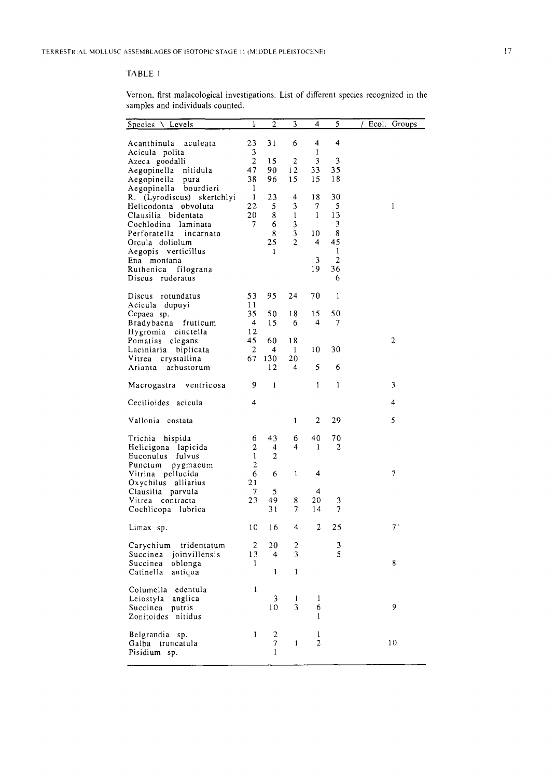# TABLE I

Vernon, first malacological investigations. List of different species recognized in the samples and individuals counted.

| Species \ Levels                             | 1                  | $\mathbf{2}$                   | 3                | 4            | 5                    | Ecol.<br>Groups |
|----------------------------------------------|--------------------|--------------------------------|------------------|--------------|----------------------|-----------------|
|                                              |                    |                                |                  |              |                      |                 |
| Acanthinula<br>aculeata                      | 23                 | 31                             | 6                | 4            | 4                    |                 |
| Acicula polita                               | 3                  |                                |                  | 1            |                      |                 |
| Azeca goodalli                               | 2                  | 15                             | $\boldsymbol{2}$ | 3            | 3                    |                 |
| Aegopinella<br>nitidula                      | 47                 | 90                             | 12               | 33           | 35<br>18             |                 |
| Aegopinella<br>pura<br>Aegopinella bourdieri | 38<br>$\mathbf{1}$ | 96                             | 15               | 15           |                      |                 |
| (Lyrodiscus) skertchlyi<br>R.                | 1                  | 23                             | 4                | 18           | 30                   |                 |
| Helicodonta<br>obvoluta                      | 22                 | 5                              | 3                | 7            | 5                    | 1               |
| Clausilia bidentata                          | 20                 | 8                              | $\mathbf{1}$     | $\mathbf{1}$ | 13                   |                 |
| Cochlodina laminata                          | 7                  | 6                              | 3                |              | 3                    |                 |
| Perforatella<br>incarnata                    |                    | 8                              | 3                | 10           | 8                    |                 |
| Orcula doliolum                              |                    | 25                             | $\overline{2}$   | 4            | 45                   |                 |
| Aegopis verticillus                          |                    | 1                              |                  |              | 1                    |                 |
| Ena montana                                  |                    |                                |                  | 3<br>19      | $\overline{2}$<br>36 |                 |
| Ruthenica<br>filograna<br>Discus ruderatus   |                    |                                |                  |              | 6                    |                 |
|                                              |                    |                                |                  |              |                      |                 |
| rotundatus<br>Discus                         | 53                 | 95                             | 24               | 70           | $\mathbf{1}$         |                 |
| Acicula dupuyi                               | 11                 |                                |                  |              |                      |                 |
| Cepaea sp.                                   | 35                 | 50                             | 18               | 15           | 50                   |                 |
| Bradybaena<br>fruticum                       | 4                  | 15                             | 6                | 4            | 7                    |                 |
| cinctella<br>Hygromia                        | 12<br>45           | 60                             |                  |              |                      | 2               |
| Pomatias elegans<br>Laciniaria<br>biplicata  | 2                  | 4                              | 18<br>1          | 10           | 30                   |                 |
| Vitrea crystallina                           | 67                 | 130                            | 20               |              |                      |                 |
| Arianta<br>arbustorum                        |                    | 12                             | 4                | 5            | 6                    |                 |
|                                              |                    |                                |                  |              |                      |                 |
| Macrogastra ventricosa                       | 9                  | $\mathbf{1}$                   |                  | 1            | $\mathbf{1}$         | 3               |
| Cecilioides acicula                          | 4                  |                                |                  |              |                      | 4               |
|                                              |                    |                                |                  |              |                      |                 |
| Vallonia costata                             |                    |                                | 1                | 2            | 29                   | 5               |
| Trichia<br>hispida                           | 6                  | 43                             | 6                | 40           | 70                   |                 |
| Helicigona lapicida                          | 2                  | 4                              | 4                | 1            | 2                    |                 |
| Euconulus<br>fulvus                          | 1                  | $\overline{c}$                 |                  |              |                      |                 |
| Punctum pygmaeum                             | 2                  |                                |                  |              |                      |                 |
| Vitrina pellucida                            | 6<br>21            | 6                              | $\mathbf{1}$     | 4            |                      | 7               |
| Oxychilus alliarius<br>Clausilia parvula     | 7                  | 5                              |                  | 4            |                      |                 |
| Vitrea contracta                             | 23                 | 49                             | 8                | 20           | 3                    |                 |
| Cochlicopa lubrica                           |                    | 31                             | 7                | 14           | 7                    |                 |
|                                              |                    |                                |                  |              |                      |                 |
| Limax sp.                                    | 10                 | 16                             | 4                | 2            | 25                   | 7'              |
| Carychium tridentatum                        | 2                  | 20                             | 2                |              | 3                    |                 |
| joinvillensis<br>Succinea                    | 13                 | 4                              | 3                |              | 5                    |                 |
| Succinea<br>oblonga                          | 1                  |                                |                  |              |                      | 8               |
| Catinella<br>antiqua                         |                    | 1                              | 1                |              |                      |                 |
| Columella<br>edentula                        | 1                  |                                |                  |              |                      |                 |
| Leiostyla<br>anglica                         |                    | 3                              | 1                | 1            |                      |                 |
| Succinea<br>putris                           |                    | 10                             | 3                | 6            |                      | 9               |
| Zonitoides<br>nitidus                        |                    |                                |                  | $\mathbf{1}$ |                      |                 |
|                                              |                    |                                |                  |              |                      |                 |
| Belgrandia sp.                               | 1                  | $\boldsymbol{2}$               |                  | $\mathbf{1}$ |                      |                 |
| Galba truncatula<br>Pisidium sp.             |                    | $\overline{7}$<br>$\mathbf{1}$ | $\mathbf{1}$     | 2            |                      | 10              |
|                                              |                    |                                |                  |              |                      |                 |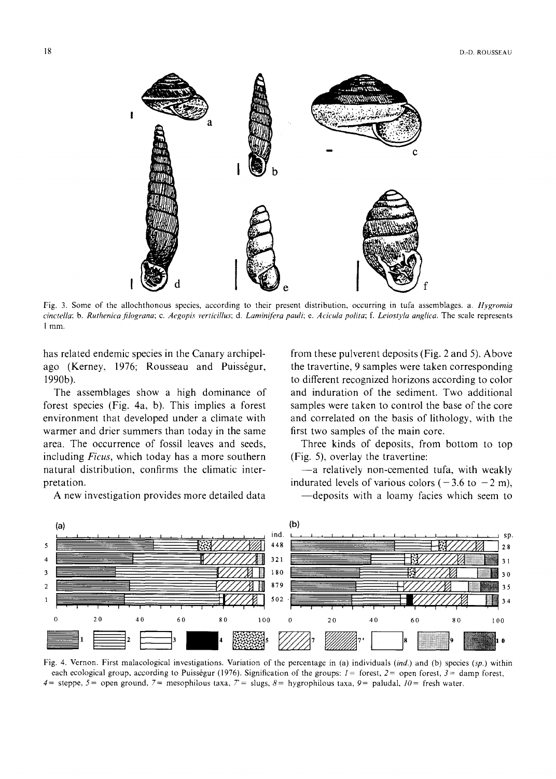

Fig. 3. Some of the allochthonous species, according to their present distribution, occurring in tufa assemblages, a. *Hygromia*  cinctella; b. Ruthenica filograna; c. Aegopis verticillus; d. Laminifera pauli; e. Acicula polita; f. Leiostyla anglica. The scale represents **<sup>I</sup>**mm.

has related endemic species in the Canary archipelago (Kerney, 1976; Rousseau and Puisségur, 1990b).

The assemblages show a high dominance of forest species (Fig. 4a, b). This implies a forest environment that developed under a climate with warmer and drier summers than today in the same area. The occurrence of fossil leaves and seeds, including *Ficus,* which today has a more southern natural distribution, confirms the climatic interpretation.

A new investigation provides more detailed data

from these pulverent deposits (Fig. 2 and 5). Above the travertine, 9 samples were taken corresponding to different recognized horizons according to color and induration of the sediment. Two additional samples were taken to control the base of the core and correlated on the basis of lithology, with the first two samples of the main core.

Three kinds of deposits, from bottom to top (Fig. 5), overlay the travertine:

-- a relatively non-cemented tufa, with weakly indurated levels of various colors ( $-3.6$  to  $-2$  m), -deposits with a loamy facies which seem to



Fig. 4. Vernon. First malacological investigations. Variation of the percentage in (a) individuals *(ind.)* and (b) species (sp.) within each ecological group, according to Puisségur (1976). Signification of the groups:  $I =$  forest,  $2 =$  open forest,  $3 =$  damp forest,  $4=$  steppe,  $5=$  open ground,  $7=$  mesophilous taxa,  $7=$  slugs,  $8=$  hygrophilous taxa,  $9=$  paludal,  $10=$  fresh water.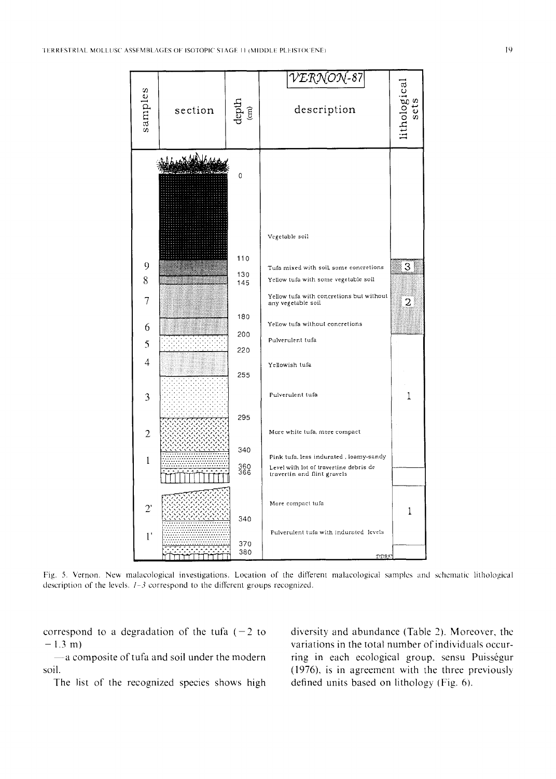

Fig. 5. Vernon. New malacological investigations. Location of the different malacological samples and schematic lithological description of the levels.  $1 - 3$  correspond to the different groups recognized.

correspond to a degradation of the tufa  $(-2)$  to  $-1.3$  m)

-a composite of tufa and soil under the modern soil.

The list of the recognized species shows high

diversity and abundance (Table 2). Moreover, the variations in the total number of individuals occurring in each ecological group, sensu Puisségur (1976), is in agreement with the three previously defined units based on lithology (Fig. 6).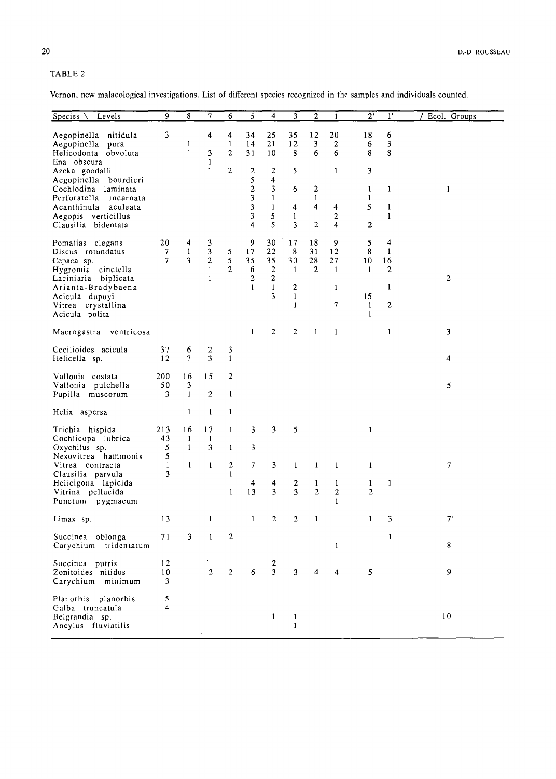# TABLE 2

Vernon, new malacological investigations. List of different species recognized in the samples and individuals counted.

| Species $\setminus$ Levels                                                                                                                                                        | 9                         | 8                                  | $\overline{7}$                                           | 6                                                     | 5                                                    | 4                                                                   | 3                                                                               | $\overline{2}$                                        | 1                                                  | $2^{\cdot}$                                                        | $1^{\circ}$                                                                   | Ecol. Groups   |
|-----------------------------------------------------------------------------------------------------------------------------------------------------------------------------------|---------------------------|------------------------------------|----------------------------------------------------------|-------------------------------------------------------|------------------------------------------------------|---------------------------------------------------------------------|---------------------------------------------------------------------------------|-------------------------------------------------------|----------------------------------------------------|--------------------------------------------------------------------|-------------------------------------------------------------------------------|----------------|
| Aegopinella nitidula<br>Aegopinella pura<br>Helicodonta obvoluta<br>Ena obscura<br>Azeka goodalli<br>Aegopinella bourdieri                                                        | 3                         | $\mathbf{1}$<br>$\mathbf{1}$       | 4<br>3<br>$\mathbf{1}$<br>$\mathbf{1}$                   | 4<br>$\mathbf{1}$<br>$\overline{c}$<br>$\overline{2}$ | 34<br>14<br>31<br>$\mathbf{2}$<br>5                  | 25<br>21<br>10<br>$\mathbf{2}$<br>4                                 | 35<br>12<br>8<br>5                                                              | 12<br>3<br>6                                          | 20<br>$\overline{c}$<br>6<br>$\mathbf{1}$          | 18<br>6<br>8<br>3                                                  | 6<br>3<br>8                                                                   |                |
| Cochlodina laminata<br>Perforatella incarnata<br>Acanthinula aculeata<br>Aegopis verticillus<br>Clausilia bidentata                                                               |                           |                                    |                                                          |                                                       | $\overline{2}$<br>3<br>3<br>3<br>4                   | 3<br>$\mathbf{1}$<br>$\mathbf{1}$<br>5<br>5                         | 6<br>4<br>$\mathbf{1}$<br>3                                                     | $\overline{2}$<br>$\mathbf{1}$<br>4<br>$\overline{2}$ | 4<br>$\overline{2}$<br>$\overline{4}$              | $\mathbf{1}$<br>$\mathbf{1}$<br>5<br>$\overline{2}$                | $\mathbf{1}$<br>$\mathbf{1}$<br>$\mathbf{1}$                                  | $\mathbf{I}$   |
| Pomatias elegans<br>Discus rotundatus<br>Cepaea sp.<br>Hygromia cinctella<br>Laciniaria biplicata<br>Arianta-Bradybaena<br>Acicula dupuvi<br>Vitrea crystallina<br>Acicula polita | 20<br>7<br>$\overline{7}$ | 4<br>$\mathbf{1}$<br>3             | 3<br>3<br>$\overline{2}$<br>$\mathbf{1}$<br>$\mathbf{1}$ | 5<br>5<br>$\overline{2}$                              | 9<br>17<br>35<br>6<br>$\overline{c}$<br>$\mathbf{1}$ | 30<br>22<br>35<br>$\mathbf{2}$<br>$\mathbf{2}$<br>$\mathbf{1}$<br>3 | 17<br>8<br>30<br>$\mathbf{1}$<br>$\overline{c}$<br>$\mathbf{1}$<br>$\mathbf{1}$ | 18<br>31<br>28<br>$\overline{2}$                      | 9<br>12<br>27<br>$\mathbf{1}$<br>$\mathbf{1}$<br>7 | 5<br>8<br>10<br>$\mathbf{1}$<br>15<br>$\mathbf{1}$<br>$\mathbf{1}$ | $\overline{4}$<br>$\mathbf{1}$<br>16<br>$\overline{c}$<br>1<br>$\overline{c}$ | $\overline{c}$ |
| Macrogastra ventricosa                                                                                                                                                            |                           |                                    |                                                          |                                                       | $\mathbf{1}$                                         | $\mathbf{2}$                                                        | $\overline{c}$                                                                  | $\mathbf{1}$                                          | $\mathbf{1}$                                       |                                                                    | $\mathbf{1}$                                                                  | 3              |
| Cecilioides acicula<br>Helicella sp.                                                                                                                                              | 37<br>12                  | 6<br>$\tau$                        | 2<br>3                                                   | 3<br>$\mathbf{1}$                                     |                                                      |                                                                     |                                                                                 |                                                       |                                                    |                                                                    |                                                                               | 4              |
| Vallonia costata<br>Vallonia pulchella<br>Pupilla muscorum                                                                                                                        | 200<br>50<br>3            | 16<br>3<br>$\mathbf{1}$            | 15<br>$\overline{2}$                                     | $\overline{2}$<br>$\mathbf{1}$                        |                                                      |                                                                     |                                                                                 |                                                       |                                                    |                                                                    |                                                                               | 5              |
| Helix aspersa                                                                                                                                                                     |                           | $\mathbf{1}$                       | $\mathbf{1}$                                             | $\mathbf{1}$                                          |                                                      |                                                                     |                                                                                 |                                                       |                                                    |                                                                    |                                                                               |                |
| Trichia hispida<br>Cochlicopa lubrica<br>Oxychilus sp.<br>Nesovitrea hammonis                                                                                                     | 213<br>43<br>5<br>5       | 16<br>$\mathbf{1}$<br>$\mathbf{1}$ | 17<br>$\mathbf{1}$<br>3                                  | $\mathbf{1}$<br>1                                     | 3<br>3                                               | 3                                                                   | 5                                                                               |                                                       |                                                    | $\mathbf{1}$                                                       |                                                                               |                |
| Vitrea contracta<br>Clausilia parvula                                                                                                                                             | $\mathbf{1}$<br>3         | $\mathbf{1}$                       | $\mathbf{1}$                                             | $\overline{2}$<br>$\mathbf{1}$                        | 7                                                    | 3                                                                   | $\mathbf{1}$                                                                    | $\mathbf{1}$                                          | $\mathbf{1}$                                       | $\mathbf{1}$                                                       |                                                                               | $\overline{7}$ |
| Helicigona lapicida<br>Vitrina pellucida<br>Punctum pygmaeum                                                                                                                      |                           |                                    |                                                          | $\mathbf{1}$                                          | 4<br>13                                              | 4<br>3                                                              | $\overline{c}$<br>3                                                             | $\mathbf{1}$<br>$\overline{2}$                        | $\mathbf{1}$<br>$\overline{2}$<br>$\mathbf{1}$     | $\mathbf{1}$<br>$\mathbf{2}$                                       | $\mathbf{1}$                                                                  |                |
| Limax sp.                                                                                                                                                                         | 13                        |                                    | $\mathbf{1}$                                             |                                                       | $\mathbf{1}$                                         | $\overline{2}$                                                      | $\overline{2}$                                                                  | $\mathbf{1}$                                          |                                                    | $\mathbf{1}$                                                       | 3                                                                             | $7^{\circ}$    |
| Succinea oblonga<br>Carychium tridentatum                                                                                                                                         | 71                        | 3                                  | $\mathbf{1}$                                             | $\overline{2}$                                        |                                                      |                                                                     |                                                                                 |                                                       | 1                                                  |                                                                    | $\mathbf{1}$                                                                  | 8              |
| Succinca putris<br>Zonitoides nitidus<br>Carychium minimum                                                                                                                        | 12<br>10<br>3             |                                    | $\overline{2}$                                           | $\overline{2}$                                        | 6                                                    | 2<br>3                                                              | 3                                                                               | 4                                                     | 4                                                  | 5                                                                  |                                                                               | 9              |
| Planorbis planorbis<br>Galba truncatula<br>Belgrandia sp.<br>Ancylus fluviatilis                                                                                                  | 5<br>$\overline{4}$       |                                    |                                                          |                                                       |                                                      | $\mathbf{1}$                                                        | $\mathbf{1}$<br>$\mathbf{1}$                                                    |                                                       |                                                    |                                                                    |                                                                               | 10             |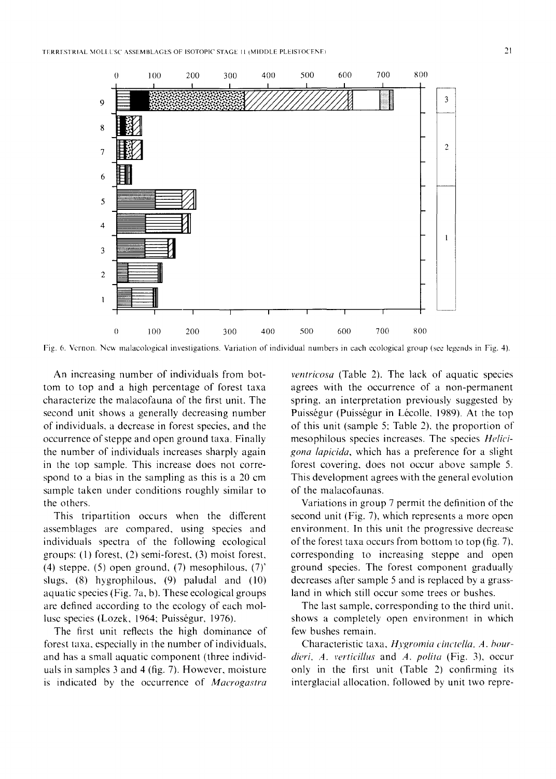

Fig. 6. Vernon. New malacological investigations. Variation of individual numbers in each ecological group (see legends in Fig. 4).

An increasing number of individuals from bottom to top and a high percentage of forest taxa characterize the malacofauna of the first unit. The second unit shows a generally decreasing number of individuals, a decrease in forest species, and the occurrence of steppe and open ground taxa. Finally the number of individuals increases sharply again in the top sample. This increase does not correspond to a bias in the sampling as this is a 20 cm sample taken under conditions roughly similar to the others.

This tripartition occurs when the different assemblages are compared, using species and individuals spectra of the following ecological groups: (1) forest, (2) semi-forest, (3) moist forest, (4) steppe, (5) open ground, (7) mesophilous, (7)' slugs, (8) hygrophilous, (9) paludal and (10) aquatic species (Fig. 7a, b). These ecological groups are defined according to the ecology of each mollusc species (Lozek, 1964; Puisségur, 1976).

The first unit reflects the high dominance of forest taxa, especially in the number of individuals, and has a small aquatic component (three individuals in samples 3 and 4 (fig. 7). However, moisture is indicated by the occurrence of *Macrogastra* 

*ventricosa* (Table 2). The lack of aquatic species agrees with the occurrence of a non-permanent spring, an interpretation previously suggested by Puisségur (Puisségur in Lécolle, 1989). At the top of this unit (sample 5; Table 2), the proportion of mesophilous species increases. The species *Helicigona lapicida,* which has a preference for a slight forest covering, does not occur above sample 5. This development agrees with the general evolution of the malacofaunas.

Variations in group 7 permit the definition of the second unit (Fig. 7), which represents a more open environment. In this unit the progressive decrease of the forest taxa occurs from bottom to top (fig. 7), corresponding to increasing steppe and open ground species. The forest component gradually decreases after sample 5 and is replaced by a grassland in which still occur some trees or bushes.

The last sample, corresponding to the third unit. shows a completely open environment in which few bushes remain.

Characteristic taxa, *Hygromia cinctella*, A. bour*dieri, A. verticillus* and *A. polita* (Fig. 3), occur only in the first unit (Table 2) confirming its interglacial allocation, followed by unit two repre-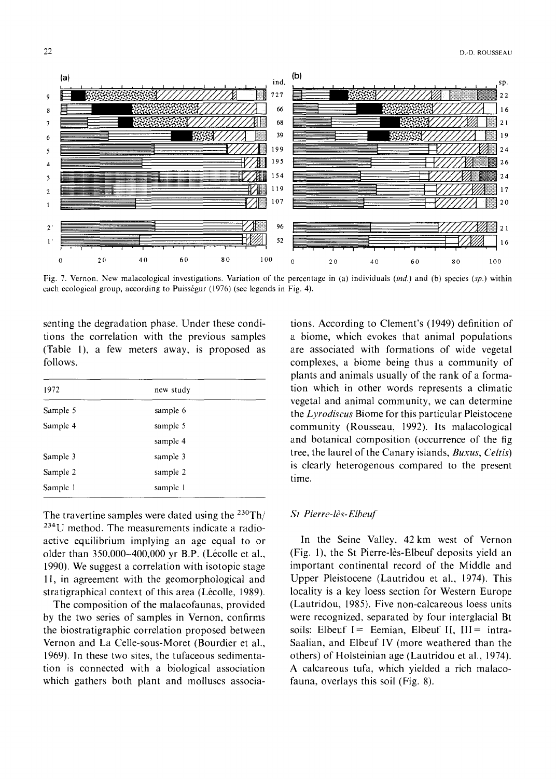

Fig. 7. Vernon. New malacological investigations. Variation of the percentage in (a) individuals *(ind.)* and (b) species (sp.) within each ecological group, according to Puisségur (1976) (see legends in Fig. 4).

senting the degradation phase. Under these conditions the correlation with the previous samples (Table 1), a few meters away, is proposed as follows.

| 1972     | new study |  |
|----------|-----------|--|
| Sample 5 | sample 6  |  |
| Sample 4 | sample 5  |  |
|          | sample 4  |  |
| Sample 3 | sample 3  |  |
| Sample 2 | sample 2  |  |
| Sample 1 | sample 1  |  |

The travertine samples were dated using the  $230$ Th/ 234U method. The measurements indicate a radioactive equilibrium implying an age equal to or older than 350,000-400,000 yr B.P. (Lécolle et al., 1990). We suggest a correlation with isotopic stage l l, in agreement with the geomorphological and stratigraphical context of this area (Lécolle, 1989).

The composition of the malacofaunas, provided by the two series of samples in Vernon, confirms the biostratigraphic correlation proposed between Vernon and La Celle-sous-Moret (Bourdier et al., 1969). In these two sites, the tufaceous sedimentation is connected with a biological association which gathers both plant and molluscs associa-

tions. According to Clement's (1949) definition of a biome, which evokes that animal populations are associated with formations of wide vegetal complexes, a biome being thus a community of plants and animals usually of the rank of a formation which in other words represents a climatic vegetal and animal community, we can determine the *Lyrodiscus* Biome for this particular Pleistocene community (Rousseau, 1992). Its malacological and botanical composition (occurrence of the fig tree, the laurel of the Canary islands, *Buxus, Celtis)*  is clearly heterogenous compared to the present time.

## *St Pierre-I&-Elbeuf*

In the Seine Valley, 42km west of Vernon (Fig. 1), the St Pierre-16s-Elbeuf deposits yield an important continental record of the Middle and Upper Pleistocene (Lautridou et al., 1974). This locality is a key loess section for Western Europe (Lautridou, 1985). Five non-calcareous loess units were recognized, separated by four interglacial Bt soils: Elbeuf I = Eemian, Elbeuf II,  $III =$  intra-Saalian, and Elbeuf IV (more weathered than the others) of Holsteinian age (Lautridou et al., 1974). A calcareous tufa, which yielded a rich malacofauna, overlays this soil (Fig. 8).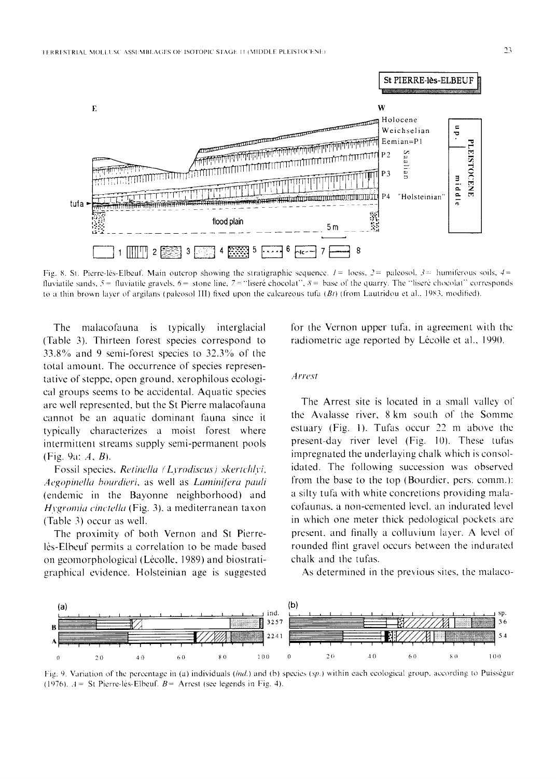

Fig. 8. St. Pierre-lès-Elbeuf. Main outcrop showing the stratigraphic sequence.  $l = \text{loss}$ ,  $2 = \text{palcosol}$ ,  $3 = \text{humifercous soils}$ ,  $4 =$ fluviatile sands,  $5 =$  fluviatile gravels,  $6 =$  stone line,  $7 =$  "liseré chocolat",  $8 =$  base of the quarry. The "liseré chocolat" corresponds to a thin brown layer of argilans (paleosol III) fixed upon the calcareous tufa  $(Bt)$  (from Lautridou et al., 1983, modified).

**The** malacofauna is typically interglacial (Table 3). Thirteen forest species correspond to  $33.8\%$  and 9 semi-forest species to  $32.3\%$  of the total amount. The occurrence of species representative of steppe, open ground, xerophilous ecological groups seems to be accidental. Aquatic species are well represented, but the St Pierre malacofauna cannot be an aquatic dominant fauna since it typically characterizes a moist forest where intermittent streams supply semi-permanent pools (Fig. 9a:  $A, B$ ).

Fossil species, Retinella (Lyrodiscus) skertchlyi, Aegopinella bourdieri, as well as Laminifera pauli (endemic in the Bayonne neighborhood) and Hygromia cinctella (Fig. 3), a mediterranean taxon (Table 3) occur as well.

The proximity of both Vernon and St Pierrelès-Elbeuf permits a correlation to be made based on geomorphological (Lécolle, 1989) and biostratigraphical evidence. Holsteinian age is suggested for the Vernon upper tufa, in agreement with the radiometric age reported by Lécolle et al., 1990.

#### Arrest

The Arrest site is located in a small valley of the Avalasse river, 8 km south of the Somme estuary (Fig. 1). Tufas occur 22 m above the present-day river level (Fig. 10). These tufas impregnated the underlaying chalk which is consolidated. The following succession was observed from the base to the top (Bourdier, pers. comm.): a silty tufa with white concretions providing malacofaunas, a non-cemented level, an indurated level in which one meter thick pedological pockets are present, and finally a colluvium layer. A level of rounded flint gravel occurs between the indurated chalk and the tufas.

As determined in the previous sites, the malaco-



Fig. 9. Variation of the percentage in (a) individuals (ind.) and (b) species (sp.) within each ecological group, according to Puisségur (1976).  $A =$  St Pierre-les-Elbeuf.  $B =$  Arrest (see legends in Fig. 4).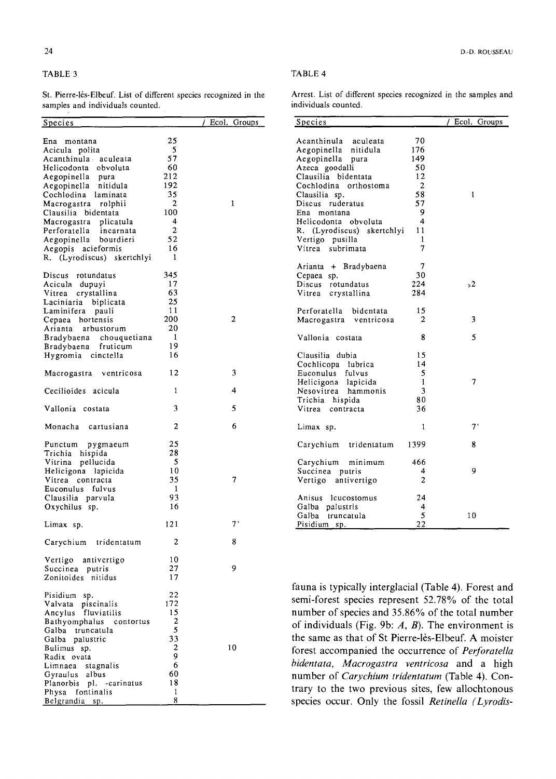## TABLE 3

Belgrandia sp.

St. Pierre-16s-Elbeuf. List of different species recognized in the samples and individuals counted.

|--|

Arrest. List of different species recognized in the samples and individuals counted.

species occur. Only the fossil *Retinella (Lyrodis-* 

| samples and merridans counted. |                |              |                                                          |              |                 |
|--------------------------------|----------------|--------------|----------------------------------------------------------|--------------|-----------------|
| Species                        |                | Ecol. Groups | <b>Species</b>                                           |              | / Ecol. Groups  |
| Ena montana                    | 25             |              | Acanthinula aculeata                                     | 70           |                 |
| Acicula polita                 | 5              |              | Aegopinella nitidula                                     | 176          |                 |
| Acanthinula aculeata           | 57             |              | Aegopinella pura                                         | 149          |                 |
| Helicodonta obvoluta           | 60             |              | Azeca goodalli                                           | 50           |                 |
| Aegopinella pura               | 212            |              | Clausilia bidentata                                      | 12           |                 |
| Aegopinella nitidula           | 192            |              | Cochlodina orthostoma                                    | $\mathbf{2}$ |                 |
| Cochlodina laminata            | 35             |              | Clausilia sp.                                            | 58           | $\mathbf{1}$    |
| Macrogastra rolphii            | 2              | $\mathbf{1}$ | Discus ruderatus                                         | 57           |                 |
| Clausilia bidentata            | 100            |              | Ena montana                                              | 9            |                 |
| Macrogastra plicatula          | 4              |              | Helicodonta obvoluta                                     | 4            |                 |
| Perforatella<br>incarnata      | $\overline{2}$ |              | R. (Lyrodiscus) skertchlyi                               | 11           |                 |
| Aegopinella bourdieri          | 52             |              | Vertigo pusilla                                          | $\mathbf{1}$ |                 |
| Aegopis acieformis             | 16             |              | Vitrea subrimata                                         | 7            |                 |
| R. (Lyrodiscus) skertchlyi     | 1              |              |                                                          |              |                 |
|                                |                |              | Arianta + Bradybaena                                     | 7            |                 |
| Discus rotundatus              | 345            |              | Cepaea sp.                                               | 30           |                 |
| Acicula dupuyi                 | 17             |              | Discus rotundatus                                        | 224          | $2^{\circ}$     |
| Vitrea crystallina             | 63             |              | Vitrea crystallina                                       | 284          |                 |
| Laciniaria biplicata           | 25             |              |                                                          |              |                 |
| Laminifera pauli               | 11             |              | Perforatella bidentata                                   | 15           |                 |
| Cepaea hortensis               | 200            | 2            | Macrogastra ventricosa                                   | 2            | 3               |
| Arianta arbustorum             | 20             |              |                                                          |              |                 |
| Bradybaena chouquetiana        | $\mathbf{1}$   |              | Vallonia costata                                         | 8            | 5               |
| Bradybaena fruticum            | 19             |              |                                                          |              |                 |
| Hygromia cinctella             | 16             |              | Clausilia dubia                                          | 15           |                 |
|                                |                |              | Cochlicopa lubrica                                       | 14           |                 |
| Macrogastra ventricosa         | 12             | 3            | Euconulus fulvus                                         | 5            |                 |
|                                |                |              | Helicigona lapicida                                      | $\mathbf{1}$ | 7               |
| Cecilioides acicula            | 1              | 4            | Nesovitrea hammonis                                      | 3            |                 |
|                                |                |              | Trichia hispida                                          | 80           |                 |
| Vallonia costata               | 3              | 5            | Vitrea contracta                                         | 36           |                 |
| Monacha cartusiana             | 2              | 6            | Limax sp.                                                | 1            | $7^{\circ}$     |
| Punctum pygmaeum               | 25             |              | Carychium tridentatum                                    | 1399         | 8               |
| Trichia hispida                | 28             |              |                                                          |              |                 |
| Vitrina pellucida              | 5              |              | Carychium minimum                                        | 466          |                 |
| Helicigona lapicida            | 10             |              | Succinea putris                                          | 4            | 9               |
| Vitrea contracta               | 35             | 7            | Vertigo antivertigo                                      | 2            |                 |
| Euconulus fulvus               | -1             |              |                                                          |              |                 |
| Clausilia parvula              | 93             |              | Anisus leucostomus                                       | 24           |                 |
| Oxychilus sp.                  | 16             |              | Galba palustris                                          | 4            |                 |
|                                |                |              | Galba truncatula                                         | 5            | 10 <sup>°</sup> |
| Limax sp.                      | 121            | $7^{\circ}$  | Pisidium sp.                                             | 22           |                 |
| Carychium tridentatum          | 2              | 8            |                                                          |              |                 |
|                                |                |              |                                                          |              |                 |
| Vertigo antivertigo            | 10             |              |                                                          |              |                 |
| Succinea putris                | 27             | 9            |                                                          |              |                 |
| Zonitoides nitidus             | 17             |              |                                                          |              |                 |
|                                |                |              | fauna is typically interglacial (Table 4). Forest and    |              |                 |
| Pisidium sp.                   | 22             |              | semi-forest species represent 52.78% of the total        |              |                 |
| Valvata piscinalis             | 172            |              |                                                          |              |                 |
| Ancylus fluviatilis            | 15             |              | number of species and 35.86% of the total number         |              |                 |
| Bathyomphalus contortus        | 2              |              | of individuals (Fig. 9b: $A$ , $B$ ). The environment is |              |                 |
| Galba truncatula               | 5              |              |                                                          |              |                 |
| Galba palustric                | 33             |              | the same as that of St Pierre-lès-Elbeuf. A moister      |              |                 |
| Bulimus sp.                    | 2              | 10           | forest accompanied the occurrence of Perforatella        |              |                 |
| Radix ovata                    | 9              |              | bidentata, Macrogastra ventricosa and a high             |              |                 |
| Limnaea stagnalis              | 6              |              |                                                          |              |                 |
| Gyraulus albus                 | 60             |              | number of Carychium tridentatum (Table 4). Con-          |              |                 |
| Planorbis pl. - carinatus      | 18             |              | trary to the two previous sites, few allochtonous        |              |                 |
| Physa fontinalis               | 1              |              |                                                          |              |                 |
| Belgrandia sp.                 | 8              |              | species occur. Only the fossil Retinella (I vrodis-      |              |                 |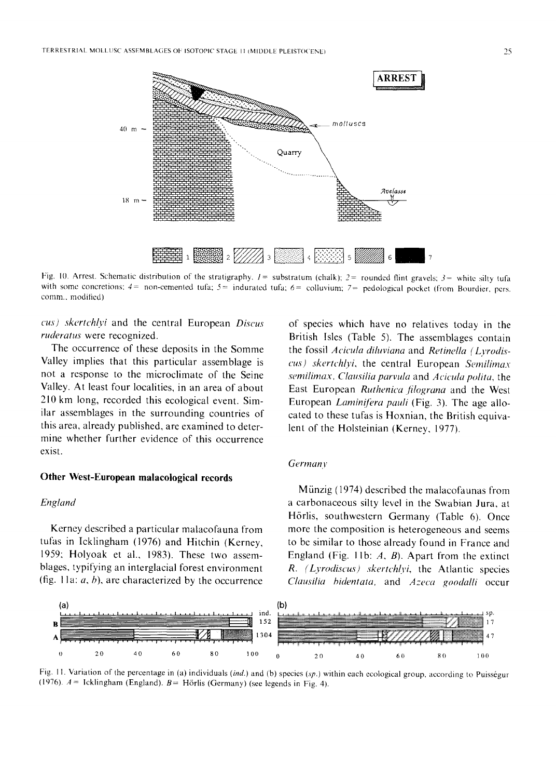

Fig. 10. Arrest. Schematic distribution of the stratigraphy.  $I =$  substratum (chalk);  $2 =$  rounded flint gravels;  $3 =$  white silty tufa with some concretions;  $4=$  non-cemented tufa;  $5=$  indurated tufa;  $6=$  colluvium;  $7=$  pedological pocket (from Bourdier, pers. comm., modified)

cus) skertchlyi and the central European Discus ruderatus were recognized.

The occurrence of these deposits in the Somme Valley implies that this particular assemblage is not a response to the microclimate of the Seine Valley. At least four localities, in an area of about 210 km long, recorded this ecological event. Similar assemblages in the surrounding countries of this area, already published, are examined to determine whether further evidence of this occurrence exist.

# Other West-European malacological records

## England

Kerney described a particular malacofauna from tufas in Icklingham (1976) and Hitchin (Kerney, 1959; Holyoak et al., 1983). These two assemblages, typifying an interglacial forest environment (fig. 11a:  $a$ ,  $b$ ), are characterized by the occurrence

of species which have no relatives today in the British Isles (Table 5). The assemblages contain the fossil Acicula diluviana and Retinella (Lyrodiscus) skertchlyi, the central European Semilimax semilimax, Clausilia parvula and Acicula polita, the East European Ruthenica filograna and the West European *Laminifera pauli* (Fig. 3). The age allocated to these tufas is Hoxnian, the British equivalent of the Holsteinian (Kerney, 1977).

# Germany

Münzig (1974) described the malacofaunas from a carbonaceous silty level in the Swabian Jura, at Hörlis, southwestern Germany (Table 6). Once more the composition is heterogeneous and seems to be similar to those already found in France and England (Fig. 11b:  $A$ ,  $B$ ). Apart from the extinct R. (Lyrodiscus) skertchlyi, the Atlantic species Clausilia bidentata, and Azeca goodalli occur



Fig. 11. Variation of the percentage in (a) individuals (ind.) and (b) species (sp.) within each ecological group, according to Puisségur (1976).  $A =$  Icklingham (England).  $B =$  Hörlis (Germany) (see legends in Fig. 4).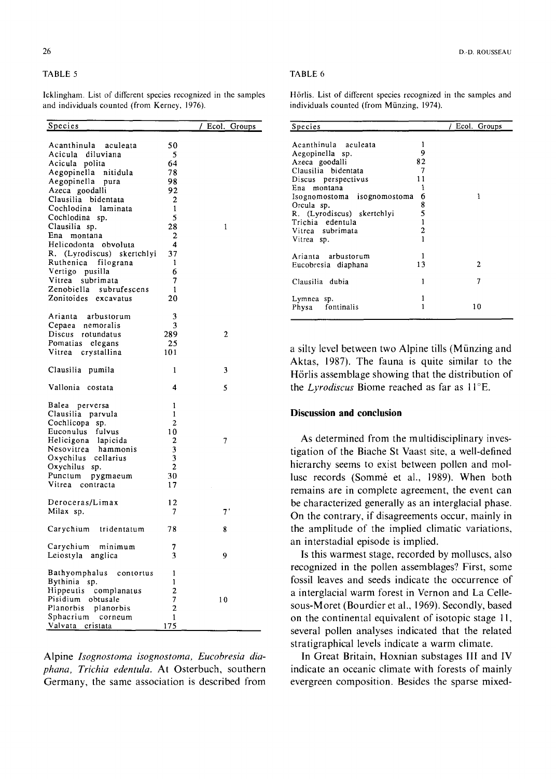## TABLE 5

Icklingham. List of different species recognized in the samples and individuals counted (from Kerney, 1976).

| <u>Species</u>             |                | Ecol.<br><u>Groups</u> |
|----------------------------|----------------|------------------------|
|                            |                |                        |
| Acanthinula aculeata       | 50             |                        |
| Acicula diluviana          | 5              |                        |
| Acicula polita             | 64             |                        |
| Aegopinella nitidula       | 78             |                        |
| Aegopinella pura           | 98             |                        |
| Azeca goodalli             | 92             |                        |
| Clausilia bidentata        | $\mathbf{2}$   |                        |
| Cochlodina laminata        | 1              |                        |
|                            |                |                        |
| Cochlodina sp.             | 5              |                        |
| Clausilia sp.              | 28             | 1                      |
| Ena<br>montana             | 2              |                        |
| Helicodonta obvoluta       | 4              |                        |
| R. (Lyrodiscus) skertchlyi | 37             |                        |
| Ruthenica filograna        | 1              |                        |
| Vertigo pusilla            | 6              |                        |
| Vitrea subrimata           | 7              |                        |
| Zenobiella subrufescens    | $\mathbf{1}$   |                        |
| Zonitoides<br>excavatus    | 20             |                        |
|                            |                |                        |
| Arianta arbustorum         | 3              |                        |
| Cepaea nemoralis           | 3              |                        |
| Discus rotundatus          | 289            | 2                      |
| Pomatias elegans           | 25             |                        |
| Vitrea crystallina         | 101            |                        |
|                            |                |                        |
| Clausilia pumila           | 1              | 3                      |
| Vallonia costata           | 4              | 5                      |
|                            |                |                        |
| Balea perversa             | 1              |                        |
| Clausilia parvula          | 1              |                        |
| Cochlicopa sp.             | $\overline{2}$ |                        |
| Euconulus fulvus           | 10             |                        |
| Helicigona lapicida        | $\overline{2}$ | 7                      |
| Nesovitrea<br>hammonis     | 3              |                        |
| Oxychilus cellarius        | 3              |                        |
| Oxychilus sp.              | $\mathbf{2}$   |                        |
| Punctum<br>pygmaeum        | 30             |                        |
| Vitrea contracta           | 17             |                        |
|                            |                |                        |
| Deroceras/Limax            | 12             |                        |
|                            | 7              | 7'                     |
| Milax sp.                  |                |                        |
| Carychium tridentatum      | 78             | 8                      |
| Carychium minimum          | 7              |                        |
| Leiostyla anglica          | 3              | 9                      |
|                            |                |                        |
| Bathyomphalus contortus    | 1              |                        |
|                            | $\mathbf{1}$   |                        |
| Bythinia sp.               | $\overline{2}$ |                        |
| Hippeutis complanatus      |                |                        |
| Pisidium obtusale          | 7              | 10                     |
| Planorbis planorbis        | $\overline{c}$ |                        |
| Sphacrium corneum          | 1              |                        |
| Valvata cristata           | <u>175</u>     |                        |

Alpine *Isognostoma isognostoma, Eucobresia diaphana, Trichia edentula.* At Osterbuch, southern Germany, the same association is described from

#### D.-D. ROUSSEAU

#### TABLE 6

Hörlis. List of different species recognized in the samples and individuals counted (from Münzing, 1974).

| <b>Species</b>                                                                                                                                                                                                                                          |                                                                         | / Ecol. Groups |
|---------------------------------------------------------------------------------------------------------------------------------------------------------------------------------------------------------------------------------------------------------|-------------------------------------------------------------------------|----------------|
| Acanthinula aculeata<br>Aegopinella sp.<br>Azeca goodalli<br>Clausilia bidentata<br>Discus perspectivus<br>Ena montana<br>Isognomostoma isognomostoma<br>Orcula sp.<br>R. (Lyrodiscus) skertchlyi<br>Trichia edentula<br>Vitrea subrimata<br>Vitrea sp. | ı<br>9<br>82<br>7<br>11<br>1<br>6<br>8<br>5<br>1<br>$\overline{2}$<br>1 | ۱              |
| Arianta arbustorum<br>Eucobresia diaphana                                                                                                                                                                                                               | 1<br>13                                                                 | 2              |
| Clausilia dubia                                                                                                                                                                                                                                         | 1                                                                       | 7              |
| Lymnea sp.<br>Physa fontinalis                                                                                                                                                                                                                          | 1<br>1                                                                  | 10             |

a silty level between two Alpine tills (Miinzing and Aktas, 1987). The fauna is quite similar to the Hörlis assemblage showing that the distribution of the *Lyrodiscus* Biome reached as far as 11°E.

# **Discussion and conclusion**

As determined from the multidisciplinary investigation of the Biache St Vaast site, a well-defined hierarchy seems to exist between pollen and mollusc records (Sommé et al., 1989). When both remains are in complete agreement, the event can be characterized generally as an interglacial phase. On the contrary, if disagreements occur, mainly in the amplitude of the implied climatic variations, an interstadial episode is implied.

Is this warmest stage, recorded by molluscs, also recognized in the pollen assemblages? First, some fossil leaves and seeds indicate the occurrence of a interglacial warm forest in Vernon and La Cellesous-Moret (Bourdier et al., 1969). Secondly, based on the continental equivalent of isotopic stage 11, several pollen analyses indicated that the related stratigraphical levels indicate a warm climate.

In Great Britain, Hoxnian substages III and IV indicate an oceanic climate with forests of mainly evergreen composition. Besides the sparse mixed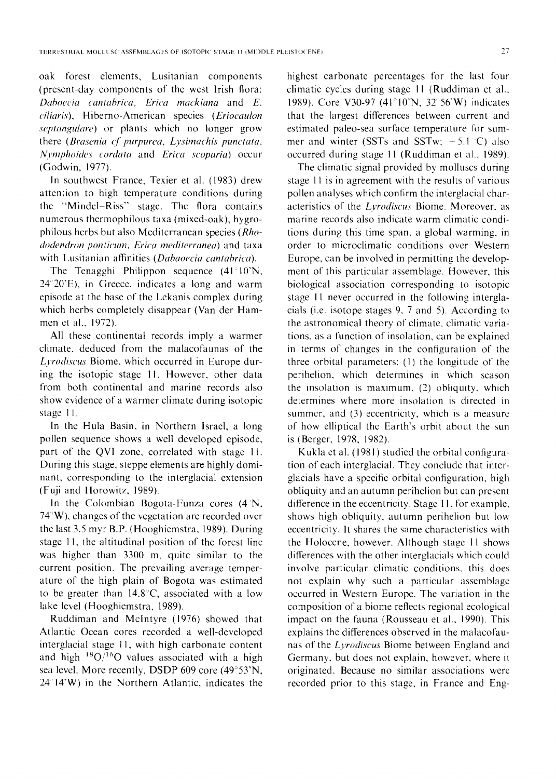oak forest elements, Lusitanian components (present-day components of the west Irish flora: *Daboecia cantabrica, Erica mackiana* and E. *ciliaris),* Hiberno-American species *(Eriocaulon septangulare)* or plants which no longer grow there *(Brasenia cf purpurea, Lysimachis punctata, Nymphoides cordata* and *Erica scoparia*) occur (Godwin, 1977).

In southwest France, Texier et al. (1983) drew attention to high temperature conditions during the "Mindel-Riss" stage. The flora contains numerous thermophilous taxa (mixed-oak), hygrophilous herbs but also Mediterranean species *(Rhododendron ponticum, Erica mediterranea)* and taxa with Lusitanian affinities *(Dabaoecia cantahrica).* 

The Tenagghi Philippon sequence  $(41^{\circ}10^{\circ}N,$ 24~20'E), in Greece, indicates a long and warm episode at the base of the Lekanis complex during which herbs completely disappear (Van der Hammen et al., 1972).

All these continental records imply a warmer climate, deduced from the malacofaunas of the *Lvrodiscus* Biome, which occurred in Europe during the isotopic stage 11. However, other data from both continental and marine records also show evidence of a warmer climate during isotopic stage 11.

In the Hula Basin, in Northern Israel, a long pollen sequence shows a well developed episode, part of the QVI zone, correlated with stage 11. During this stage, steppe elements are highly dominant, corresponding to the interglacial extension (Fuji and Horowitz, 1989).

In the Colombian Bogota-Funza cores  $(4^{\circ}N,$ 74"W), changes of the vegetation are recorded over the last 3.5 myr B.P. (Hooghiemstra, 1989). During stage I1, the altitudinal position of the forest line was higher than 3300 m, quite similar to the current position. The prevailing average temperature of the high plain of Bogota was estimated to be greater than 14.8'C, associated with a low lake level (Hooghiemstra, 1989).

Ruddiman and McIntyre (1976) showed that Atlantic Ocean cores recorded a well-developed interglacial stage 11, with high carbonate content and high  $^{18}O/^{16}O$  values associated with a high sea level. More recently, DSDP 609 core (49°53'N,  $24^{\circ}14'W$ ) in the Northern Atlantic, indicates the

highest carbonate percentages for the last four climatic cycles during stage I1 (Ruddiman et al., 1989). Core V30-97 (41°10'N, 32°56'W) indicates that the largest differences between current and estimated paleo-sea surface temperature for summer and winter (SSTs and SSTw;  $+5.1$  °C) also occurred during stage 11 (Ruddiman et al., 1989).

The climatic signal provided by molluscs during stage 11 is in agreement with the results of various pollen analyses which confirm the interglacial characteristics of the *Lyrodiscus* Biome. Moreover, as marine records also indicate warm climatic conditions during this time span, a global warming, in order to microclimatic conditions over Western Europe, can be involved in permitting the development of this particular assemblage. However, this biological association corresponding to isotopic stage 11 never occurred in the following interglacials (i.e. isotope stages 9, 7 and 5). According to the astronomical theory of climate, climatic variations, as a function of insolation, can be explained in terms of changes in the configuration of the three orbital parameters: (1) the longitude of the perihelion, which determines in which season the insolation is maximum, (2) obliquity, which determines where more insolation is directed in summer, and (3) eccentricity, which is a measure of how elliptical the Earth's orbit about the sun is (Berger, 1978, 1982).

K ukla et al. (1981) studied the orbital configuration of each interglacial. They conclude that interglacials have a specific orbital configuration, high obliquity and an autumn perihelion but can presenl difference in the eccentricity. Stage 11, for example, shows high obliquity, autumn perihelion but low eccentricity. It shares the same characteristics with the Holocene, however. Although stage 11 shows differences with the other interglacials which could involve particular climatic conditions, this does not explain why such a particular assemblage occurred in Western Europe. The variation in the composition of a biome reflects regional ecological impact on the fauna (Rousseau et al., 1990). This explains the differences observed in the malacofaunas of the *L3,rodiscus* Biome between England and Germany, but does not explain, however, where it originated. Because no similar associations were recorded prior to this stage, in France and Eng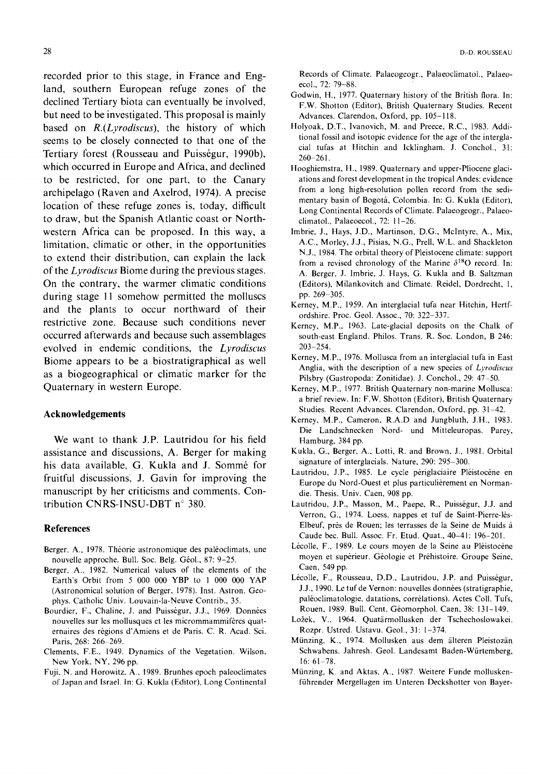recorded prior to this stage, in France and England, southern European refuge zones of the declined Tertiary biota can eventually be involved, but need to be investigated. This proposal is mainly based on *R.(Lyrodiscus),* the history of which seems to be closely connected to that one of the Tertiary forest (Rousseau and Puisségur, 1990b), which occurred in Europe and Africa, and declined to be restricted, for one part, to the Canary archipelago (Raven and Axelrod, 1974). A precise location of these refuge zones is, today, difficult to draw, but the Spanish Atlantic coast or Northwestern Africa can be proposed. In this way, a limitation, climatic or other, in the opportunities to extend their distribution, can explain the lack of the *Lyrodiscus* Biome during the previous stages. On the contrary, the warmer climatic conditions during stage 11 somehow permitted the molluscs and the plants to occur northward of their restrictive zone. Because such conditions never occurred afterwards and because such assemblages evolved in endemic conditions, the *Lyrodiscus*  Biome appears to be a biostratigraphical as well as a biogeographical or climatic marker for the Quaternary in western Europe.

## **Acknowledgements**

We want to thank J.P. Lautridou for his field assistance and discussions, A. Berger for making his data available, G. Kukla and J. Sommé for fruitful discussions, J. Gavin for improving the manuscript by her criticisms and comments. Contribution CNRS-INSU-DBT n° 380.

## **References**

- Berger, A., 1978. Théorie astronomique des paléoclimats, une nouvelle approche. Bull. Soc. Belg. Géol., 87: 9-25.
- Berger, A., 1982. Numerical values of the elements of the Earth's Orbit from 5 000 000 YBP to 1 000 000 YAP (Astronomical solution of Berger, 1978). Inst. Astron. Geophys. Catholic Univ. Louvain-la-Neuve Contrib., 35.
- Bourdier, F., Chaline, J. and Puisségur, J.J., 1969. Données nouvelles sur les mollusques et les micrommammifères quaternaires des régions d'Amiens et de Paris. C. R. Acad. Sci. Paris, 268: 266-269.
- Clements, F.E., 1949. Dynamics of the Vegetation. Wilson, New York, NY, 296 pp.
- Fuji, N. and Horowitz, A., 1989. Brunhes epoch paleoclimates of Japan and Israel. In: G. Kukla (Editor), Long Continental

28 D.-D. ROUSSEAU

Records of Climate. Palaeogeogr., Palaeoclimatol., Palaeoecol., 72: 79-88.

- Godwin, H., 1977. Quaternary history of the British flora. In: F.W. Shotton (Editor), British Quaternary Studies. Recent Advances. Clarendon, Oxford, pp. 105-118.
- Holyoak, D.T., Ivanovich, M. and Preece, R.C., 1983. Additional fossil and isotopic evidence for the age of the interglacial tufas at Hitchin and Icklingham. J. Conchol., 31:  $260 - 261$ .
- Hooghiemstra, H., 1989. Quaternary and upper-Pliocene glaciations and forest development in the tropical Andes: evidence from a long high-resolution pollen record from the sedimentary basin of Bogotá, Colombia. In: G. Kukla (Editor), Long Continental Records of Climate. Palaeogeogr., Palaeoclimatol., Palaeoecol., 72: 11-26.
- Imbrie, J., Hays, J.D., Martinson, D.G., Mclntyre, A., Mix, A.C., Morley, J.J., Pisias, N.G., Prell, W.L. and Shackleton N.J., 1984. The orbital theory of Pleistocene climate: support from a revised chronology of the Marine  $\delta^{18}$ O record. In: A. Berger, J. lmbrie, J. Hays, G. Kukla and B. Saltzman (Editors), Milankovitch and Climate. Reidel, Dordrecht, 1, pp. 269-305.
- Kerney, M.P., 1959. An interglacial tufa near Hitchin, Hertfordshire. Proc. Geol. Assoc., 70: 322-337.
- Kerney, M.P., 1963. Late-glacial deposits on the Chalk of south-east England. Philos. Trans. R. Soc. London, B 246: 203-254.
- Kerney, M.P., 1976. Mollusca from an interglacial tufa in East Anglia, with the description of a new species of *Lyrodiscus*  Pilsbry (Gastropoda: Zonitidae). J. Conchol., 29: 47-50.
- Kerney, M.P., 1977. British Quaternary non-marine Mollusca: a brief review. In: F.W. Shotton (Editor), British Quaternary Studies. Recent Advances. Clarendon, Oxford, pp. 31-42.
- Kerney, M.P., Cameron, R.A.D and Jungbluth, J.H., 1983. Die Landschnecken Nord- und Mitteleuropas. Parey, Hamburg, 384 pp.
- Kukla, G., Berger, A., Lotti, R. and Brown, J., 1981. Orbital signature of interglacials. Nature, 290: 295-300.
- Lautridou, J.P., 1985. Le cycle périglaciaire Pléistocène en Europe du Nord-Ouest et plus particulièrement en Normandie. Thesis. Univ. Caen, 908 pp.
- Lautridou, J.P., Masson, M., Paepe, R., Puisségur, J.J. and Verron, G., 1974. Loess, nappes et tuf de Saint-Pierre-16s-Elbeuf, près de Rouen: les terrasses de la Seine de Muids à Caude bec. Bull. Assoc. Fr. Etud. Quat., 40-41: 196-201.
- Lécolle, F., 1989. Le cours moyen de la Seine au Pléistocène moyen et supérieur. Géologie et Préhistoire. Groupe Seine, Caen, 549 pp.
- Lécolle, F., Rousseau, D.D., Lautridou, J.P. and Puisségur, J.J., 1990. Le tuf de Vernon: nouvelles données (stratigraphie, paléoclimatologie, datations, corrélations). Actes Coll. Tufs, Rouen, 1989. Bull. Cent. Géomorphol. Caen, 38: 131-149.
- Ložek, V., 1964. Quatärmollusken der Tschechoslowakei. Rozpr. Ustred. Ustavu. Geol., 31: 1-374.
- Münzing, K., 1974. Mollusken aus dem älteren Pleistozän Schwabens. Jahresh. Geol. Landesamt Baden-Würtemberg, 16:  $61 - 78$ .
- Münzing, K. and Aktas, A., 1987. Weitere Funde molluskenführender Mergellagen im Unteren Deckshotter von Bayer-